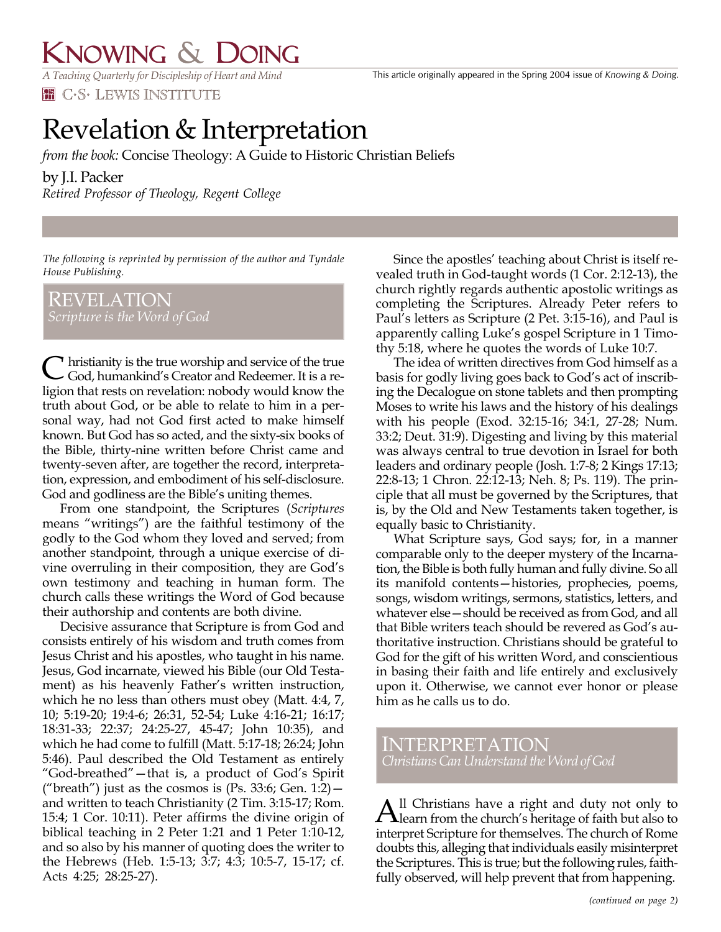## KNOWING & DOING

*A Teaching Quarterly for Discipleship of Heart and Mind* **HE C.S. LEWIS INSTITUTE** 

## Revelation & Interpretation

*from the book:* Concise Theology: A Guide to Historic Christian Beliefs

## by J.I. Packer

*Retired Professor of Theology, Regent College*

*The following is reprinted by permission of the author and Tyndale House Publishing.*

REVELATION

**Thristianity is the true worship and service of the true** C hristianity is the true worship and service of the true<br>
God, humankind's Creator and Redeemer. It is a religion that rests on revelation: nobody would know the truth about God, or be able to relate to him in a personal way, had not God first acted to make himself known. But God has so acted, and the sixty-six books of the Bible, thirty-nine written before Christ came and twenty-seven after, are together the record, interpretation, expression, and embodiment of his self-disclosure. God and godliness are the Bible's uniting themes.

From one standpoint, the Scriptures (*Scriptures* means "writings") are the faithful testimony of the godly to the God whom they loved and served; from another standpoint, through a unique exercise of divine overruling in their composition, they are God's own testimony and teaching in human form. The church calls these writings the Word of God because their authorship and contents are both divine.

Decisive assurance that Scripture is from God and consists entirely of his wisdom and truth comes from Jesus Christ and his apostles, who taught in his name. Jesus, God incarnate, viewed his Bible (our Old Testament) as his heavenly Father's written instruction, which he no less than others must obey (Matt. 4:4, 7, 10; 5:19-20; 19:4-6; 26:31, 52-54; Luke 4:16-21; 16:17; 18:31-33; 22:37; 24:25-27, 45-47; John 10:35), and which he had come to fulfill (Matt. 5:17-18; 26:24; John 5:46). Paul described the Old Testament as entirely "God-breathed"—that is, a product of God's Spirit ("breath") just as the cosmos is  $(Ps. 33:6; Gen. 1:2)$  and written to teach Christianity (2 Tim. 3:15-17; Rom. 15:4; 1 Cor. 10:11). Peter affirms the divine origin of biblical teaching in 2 Peter 1:21 and 1 Peter 1:10-12, and so also by his manner of quoting does the writer to the Hebrews (Heb. 1:5-13; 3:7; 4:3; 10:5-7, 15-17; cf. Acts 4:25; 28:25-27).

Since the apostles' teaching about Christ is itself revealed truth in God-taught words (1 Cor. 2:12-13), the church rightly regards authentic apostolic writings as completing the Scriptures. Already Peter refers to Paul's letters as Scripture (2 Pet. 3:15-16), and Paul is apparently calling Luke's gospel Scripture in 1 Timothy 5:18, where he quotes the words of Luke 10:7.

The idea of written directives from God himself as a basis for godly living goes back to God's act of inscribing the Decalogue on stone tablets and then prompting Moses to write his laws and the history of his dealings with his people (Exod. 32:15-16; 34:1, 27-28; Num. 33:2; Deut. 31:9). Digesting and living by this material was always central to true devotion in Israel for both leaders and ordinary people (Josh. 1:7-8; 2 Kings 17:13; 22:8-13; 1 Chron. 22:12-13; Neh. 8; Ps. 119). The principle that all must be governed by the Scriptures, that is, by the Old and New Testaments taken together, is equally basic to Christianity.

What Scripture says, God says; for, in a manner comparable only to the deeper mystery of the Incarnation, the Bible is both fully human and fully divine. So all its manifold contents—histories, prophecies, poems, songs, wisdom writings, sermons, statistics, letters, and whatever else—should be received as from God, and all that Bible writers teach should be revered as God's authoritative instruction. Christians should be grateful to God for the gift of his written Word, and conscientious in basing their faith and life entirely and exclusively upon it. Otherwise, we cannot ever honor or please him as he calls us to do.

INTERPRETATION *Christians Can Understand the Word of God*

ll Christians have a right and duty not only to All Christians have a right and duty not only to learn from the church's heritage of faith but also to interpret Scripture for themselves. The church of Rome doubts this, alleging that individuals easily misinterpret the Scriptures. This is true; but the following rules, faithfully observed, will help prevent that from happening.